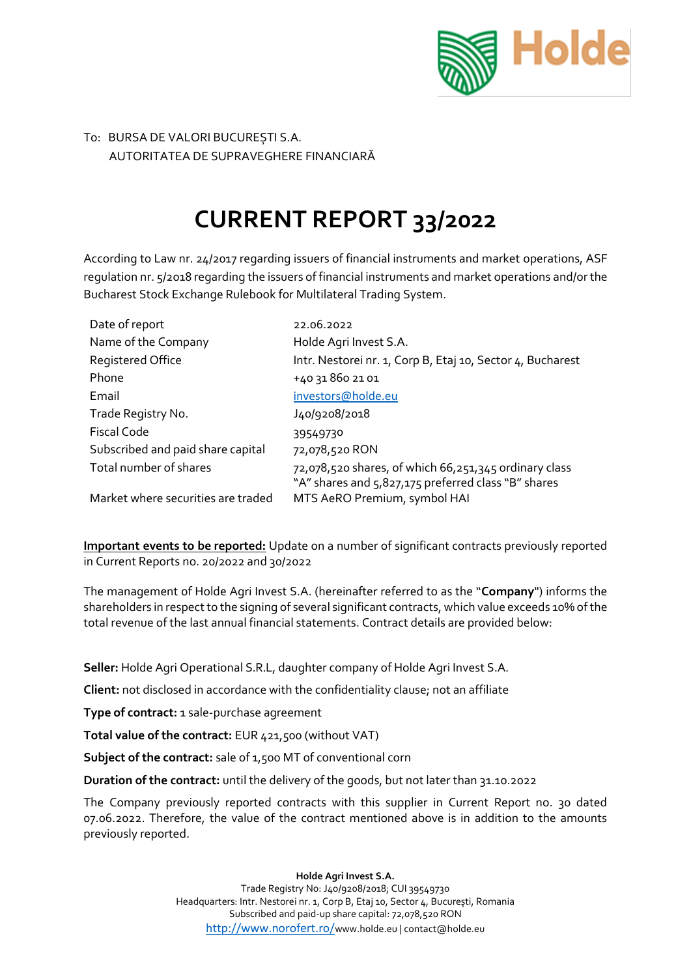

## To: BURSA DE VALORI BUCUREȘTI S.A. AUTORITATEA DE SUPRAVEGHERE FINANCIARĂ

## **CURRENT REPORT 33/2022**

According to Law nr. 24/2017 regarding issuers of financial instruments and market operations, ASF regulation nr. 5/2018 regarding the issuers of financial instruments and market operations and/or the Bucharest Stock Exchange Rulebook for Multilateral Trading System.

| Date of report                     | 22.06.2022                                                                                                   |
|------------------------------------|--------------------------------------------------------------------------------------------------------------|
| Name of the Company                | Holde Agri Invest S.A.                                                                                       |
| <b>Registered Office</b>           | Intr. Nestorei nr. 1, Corp B, Etaj 10, Sector 4, Bucharest                                                   |
| Phone                              | +40 31 860 21 01                                                                                             |
| Email                              | investors@holde.eu                                                                                           |
| Trade Registry No.                 | J40/9208/2018                                                                                                |
| <b>Fiscal Code</b>                 | 39549730                                                                                                     |
| Subscribed and paid share capital  | 72,078,520 RON                                                                                               |
| Total number of shares             | 72,078,520 shares, of which 66,251,345 ordinary class<br>"A" shares and 5,827,175 preferred class "B" shares |
| Market where securities are traded | MTS AeRO Premium, symbol HAI                                                                                 |

**Important events to be reported:** Update on a number of significant contracts previously reported in Current Reports no. 20/2022 and 30/2022

The management of Holde Agri Invest S.A. (hereinafter referred to as the "**Company**") informs the shareholders in respect to the signing of several significant contracts, which value exceeds 10% of the total revenue of the last annual financial statements. Contract details are provided below:

**Seller:** Holde Agri Operational S.R.L, daughter company of Holde Agri Invest S.A.

**Client:** not disclosed in accordance with the confidentiality clause; not an affiliate

**Type of contract:** 1 sale-purchase agreement

**Total value of the contract:** EUR 421,500 (without VAT)

**Subject of the contract:** sale of 1,500 MT of conventional corn

**Duration of the contract:** until the delivery of the goods, but not later than 31.10.2022

The Company previously reported contracts with this supplier in Current Report no. 30 dated 07.06.2022. Therefore, the value of the contract mentioned above is in addition to the amounts previously reported.

**Holde Agri Invest S.A.**

Trade Registry No: J40/9208/2018; CUI 39549730 Headquarters: Intr. Nestorei nr. 1, Corp B, Etaj 10, Sector 4, București, Romania Subscribed and paid-up share capital: 72,078,520 RON <http://www.norofert.ro/>www.holde.eu | contact@holde.eu